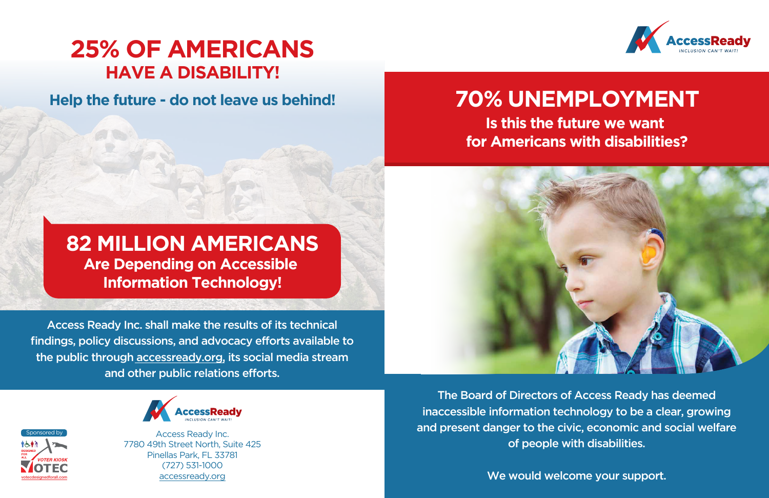## **25% OF AMERICANS HAVE A DISABILITY!**

**Help the future - do not leave us behind!** 

#### **82 MILLION AMERICANS Are Depending on Accessible Information Technology!**

Access Ready Inc. shall make the results of its technical findings, policy discussions, and advocacy efforts available to the public through [accessready.org,](https://www.accessready.org/) its social media stream and other public relations efforts.



Access Ready Inc. 7780 49th Street North, Suite 425 Pinellas Park, FL 33781 (727) 531-1000 accessready.org





### **70% UNEMPLOYMENT Is this the future we want for Americans with disabilities?**

The Board of Directors of Access Ready has deemed inaccessible information technology to be a clear, growing and present danger to the civic, economic and social welfare of people with disabilities.

We would welcome your support.